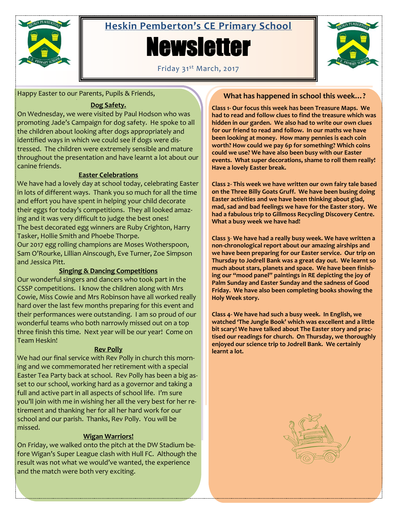

# **Heskin Pemberton's CE Primary School**

# **Newsletter**



Friday 31<sup>st</sup> March, 2017

Happy Easter to our Parents, Pupils & Friends,

# **Dog Safety.**

On Wednesday, we were visited by Paul Hodson who was promoting Jade's Campaign for dog safety. He spoke to all the children about looking after dogs appropriately and identified ways in which we could see if dogs were distressed. The children were extremely sensible and mature throughout the presentation and have learnt a lot about our canine friends.

# **Easter Celebrations**

We have had a lovely day at school today, celebrating Easter in lots of different ways. Thank you so much for all the time and effort you have spent in helping your child decorate their eggs for today's competitions. They all looked amazing and it was very difficult to judge the best ones! The best decorated egg winners are Ruby Crighton, Harry Tasker, Hollie Smith and Phoebe Thorpe.

Our 2017 egg rolling champions are Moses Wotherspoon, Sam O'Rourke, Lillian Ainscough, Eve Turner, Zoe Simpson and Jessica Pitt.

# **Singing & Dancing Competitions**

Our wonderful singers and dancers who took part in the CSSP competitions. I know the children along with Mrs Cowie, Miss Cowie and Mrs Robinson have all worked really hard over the last few months preparing for this event and their performances were outstanding. I am so proud of our wonderful teams who both narrowly missed out on a top three finish this time. Next year will be our year! Come on Team Heskin!

# **Rev Polly**

We had our final service with Rev Polly in church this morning and we commemorated her retirement with a special Easter Tea Party back at school. Rev Polly has been a big asset to our school, working hard as a governor and taking a full and active part in all aspects of school life. I'm sure you'll join with me in wishing her all the very best for her retirement and thanking her for all her hard work for our school and our parish. Thanks, Rev Polly. You will be missed.

# **Wigan Warriors!**

On Friday, we walked onto the pitch at the DW Stadium before Wigan's Super League clash with Hull FC. Although the result was not what we would've wanted, the experience and the match were both very exciting.

# **What has happened in school this week…?**

**Class 1- Our focus this week has been Treasure Maps. We had to read and follow clues to find the treasure which was hidden in our garden. We also had to write our own clues for our friend to read and follow. In our maths we have been looking at money. How many pennies is each coin worth? How could we pay 6p for something? Which coins could we use? We have also been busy with our Easter events. What super decorations, shame to roll them really! Have a lovely Easter break.**

**Class 2- This week we have written our own fairy tale based on the Three Billy Goats Gruff. We have been busing doing Easter activities and we have been thinking about glad, mad, sad and bad feelings we have for the Easter story. We had a fabulous trip to Gillmoss Recycling Discovery Centre. What a busy week we have had!**

**Class 3**- **We have had a really busy week. We have written a non-chronological report about our amazing airships and we have been preparing for our Easter service. Our trip on Thursday to Jodrell Bank was a great day out. We learnt so much about stars, planets and space. We have been finishing our "mood panel" paintings in RE depicting the joy of Palm Sunday and Easter Sunday and the sadness of Good Friday. We have also been completing books showing the Holy Week story.**

**Class 4- We have had such a busy week. In English, we watched 'The Jungle Book' which was excellent and a little bit scary! We have talked about The Easter story and practised our readings for church. On Thursday, we thoroughly enjoyed our science trip to Jodrell Bank. We certainly learnt a lot.**